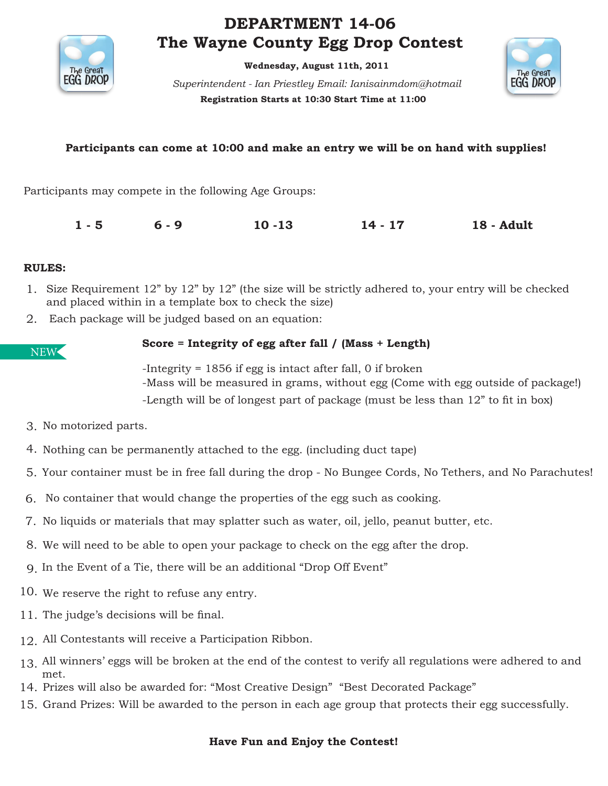

# **DEPARTMENT 14-06 The Wayne County Egg Drop Contest**

**Wednesday, August 11th, 2011** 

**Registration Starts at 10:30 Start Time at 11:00**  *Superintendent - Ian Priestley Email: Ianisainmdom@hotmail* 



### **Participants can come at 10:00 and make an entry we will be on hand with supplies!**

Participants may compete in the following Age Groups:

**1 - 5 6 - 9 10 -13 14 - 17 18 - Adult** 

#### **RULES:**

- 1. Size Requirement 12" by 12" by 12" (the size will be strictly adhered to, your entry will be checked and placed within in a template box to check the size)
- Each package will be judged based on an equation: 2.

NEW

### **Score = Integrity of egg after fall / (Mass + Length)**

-Integrity = 1856 if egg is intact after fall, 0 if broken -Mass will be measured in grams, without egg (Come with egg outside of package!) -Length will be of longest part of package (must be less than 12" to fit in box)

- 3. No motorized parts.
- 4. Nothing can be permanently attached to the egg. (including duct tape)
- 5. Your container must be in free fall during the drop No Bungee Cords, No Tethers, and No Parachutes!
- No container that would change the properties of the egg such as cooking. 6.
- 7. No liquids or materials that may splatter such as water, oil, jello, peanut butter, etc.
- We will need to be able to open your package to check on the egg after the drop. 8.
- In the Event of a Tie, there will be an additional "Drop Off Event" 9.
- 10. We reserve the right to refuse any entry.
- 11. The judge's decisions will be final.
- All Contestants will receive a Participation Ribbon. 12.
- All winners' eggs will be broken at the end of the contest to verify all regulations were adhered to and 13. met.
- 14. Prizes will also be awarded for: "Most Creative Design" "Best Decorated Package"
- 15. Grand Prizes: Will be awarded to the person in each age group that protects their egg successfully.

#### **Have Fun and Enjoy the Contest!**